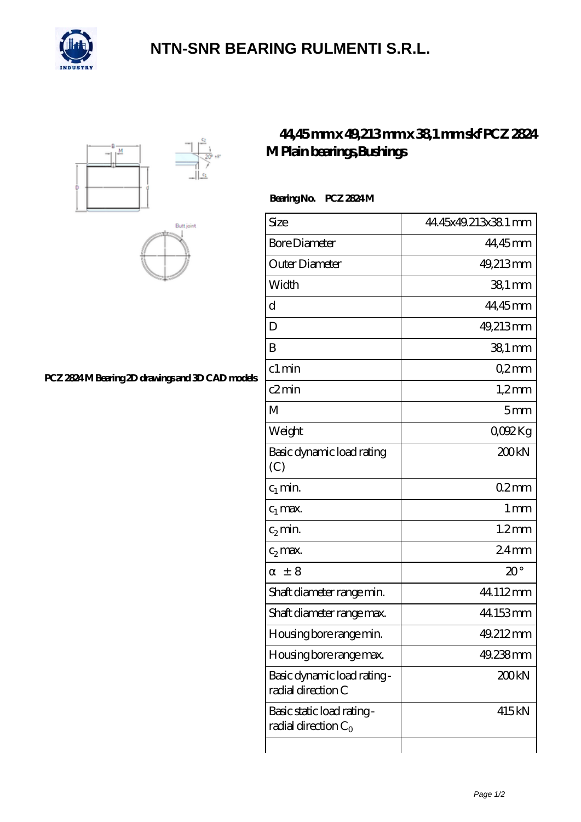

## **[NTN-SNR BEARING RULMENTI S.R.L.](https://m.confidencemenimprov.com)**





### **[PCZ 2824 M Bearing 2D drawings and 3D CAD models](https://m.confidencemenimprov.com/pic-64974584.html)**

## **[44,45 mm x 49,213 mm x 38,1 mm skf PCZ 2824](https://m.confidencemenimprov.com/by-64974584-skf-pcz-2824-m-plain-bearings-bushings.html) [M Plain bearings,Bushings](https://m.confidencemenimprov.com/by-64974584-skf-pcz-2824-m-plain-bearings-bushings.html)**

#### **Bearing No. PCZ 2824 M**

| Size                                                 | 44.45x49.213x38.1 mm |
|------------------------------------------------------|----------------------|
| <b>Bore Diameter</b>                                 | 44,45mm              |
| Outer Diameter                                       | 49,213mm             |
| Width                                                | $381$ mm             |
| d                                                    | 44,45mm              |
| D                                                    | 49,213mm             |
| B                                                    | $381$ mm             |
| c1 min                                               | Q2mm                 |
| c2min                                                | $1,2$ mm             |
| M                                                    | 5mm                  |
| Weight                                               | QOO2Kg               |
| Basic dynamic load rating<br>(C)                     | 200kN                |
| $c_1$ min.                                           | 02mm                 |
| $c_1$ max.                                           | 1 <sub>mm</sub>      |
| $c_2$ min.                                           | $1.2$ mm             |
| $c_2$ max.                                           | 24 <sub>mm</sub>     |
| $\pm$ 8                                              | $20^{\circ}$         |
| Shaft diameter range min.                            | 44.112mm             |
| Shaft diameter range max.                            | 44.153mm             |
| Housing bore range min.                              | 49.212mm             |
| Housing bore range max.                              | 49.238mm             |
| Basic dynamic load rating -<br>radial direction C    | 200kN                |
| Basic static load rating -<br>radial direction $C_0$ | 415kN                |
|                                                      |                      |